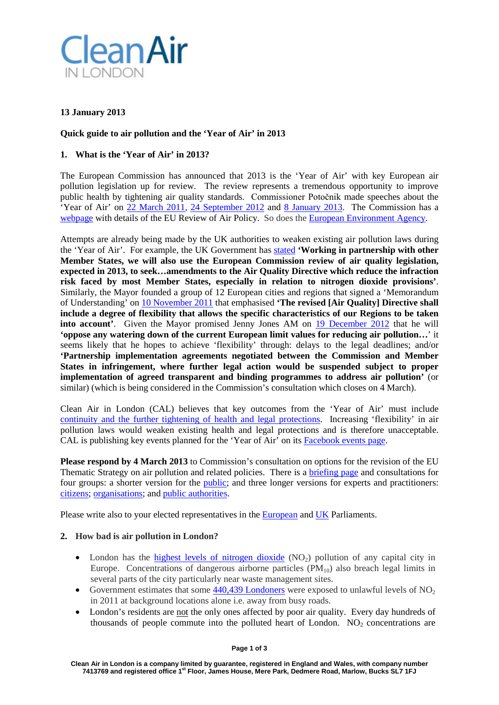

# **13 January 2013**

## **Quick guide to air pollution and the 'Year of Air' in 2013**

## **1. What is the 'Year of Air' in 2013?**

The European Commission has announced that 2013 is the 'Year of Air' with key European air pollution legislation up for review. The review represents a tremendous opportunity to improve public health by tightening air quality standards. Commissioner Potočnik made speeches about the 'Year of Air' on [22 March 2011,](http://europa.eu/rapid/press-release_SPEECH-11-203_en.htm) [24 September 2012](http://europa.eu/rapid/press-release_SPEECH-12-635_en.htm?locale=en) and [8 January 2013.](http://europa.eu/rapid/press-release_SPEECH-13-4_en.htm) The Commission has a [webpage](http://ec.europa.eu/environment/air/review_air_policy.htm) with details of the EU Review of Air Policy. So does the [European Environment Agency.](http://www.eea.europa.eu/highlights/2013-kicking-off-the-2018year)

Attempts are already being made by the UK authorities to weaken existing air pollution laws during the 'Year of Air'. For example, the UK Government has [stated](http://cleanairinlondon.org/wp-content/uploads/CAL-149-Defra-conclusions-after-RTC_March-2012.pdf) **'Working in partnership with other Member States, we will also use the European Commission review of air quality legislation, expected in 2013, to seek…amendments to the Air Quality Directive which reduce the infraction risk faced by most Member States, especially in relation to nitrogen dioxide provisions'**. Similarly, the Mayor founded a group of 12 European cities and regions that signed a 'Memorandum of Understanding' on [10 November 2011](http://cleanairinlondon.org/wp-content/uploads/CAL-190-GLA-EIR-reply-re-AIR-1799-1.pdf) that emphasised **'The revised [Air Quality] Directive shall include a degree of flexibility that allows the specific characteristics of our Regions to be taken into account'**. Given the Mayor promised Jenny Jones AM on [19 December 2012](http://mqt.london.gov.uk/mqt/public/question.do?id=44308) that he will **'oppose any watering down of the current European limit values for reducing air pollution…**' it seems likely that he hopes to achieve 'flexibility' through: delays to the legal deadlines; and/or **'Partnership implementation agreements negotiated between the Commission and Member States in infringement, where further legal action would be suspended subject to proper implementation of agreed transparent and binding programmes to address air pollution'** (or similar) (which is being considered in the Commission's consultation which closes on 4 March).

Clean Air in London (CAL) believes that key outcomes from the 'Year of Air' must include [continuity and the further tightening of health and legal protections.](http://cleanairinlondon.org/health/year-of-air-in-2013-must-deliver-continuity-and-the-further-tightening-of-health-and-legal-protections/) Increasing 'flexibility' in air pollution laws would weaken existing health and legal protections and is therefore unacceptable. CAL is publishing key events planned for the 'Year of Air' on it[s Facebook events page.](https://www.facebook.com/CleanAirLondon/events)

**Please respond by 4 March 2013** to Commission's consultation on options for the revision of the EU Thematic Strategy on air pollution and related policies. There is a [briefing page](http://ec.europa.eu/environment/consultations/air_pollution_en.htm) and consultations for four groups: a shorter version for the [public;](http://ec.europa.eu/yourvoice/ipm/forms/dispatch?form=TSAPforGP) and three longer versions for experts and practitioners: [citizens;](http://ec.europa.eu/yourvoice/ipm/forms/dispatch?form=TSAPforExperts) [organisations;](http://ec.europa.eu/environment/consultations/submit_air_pollution_en.htm) and [public authorities.](http://ec.europa.eu/yourvoice/ipm/forms/dispatch?form=TSAPforExperts)

Please write also to your elected representatives in the [European](http://www.europarl.org.uk/view/en/your_MEPs/List-MEPs-by-region/London.html) and [UK](http://findyourmp.parliament.uk/) Parliaments.

## **2. How bad is air pollution in London?**

- London has the [highest levels of nitrogen dioxide](http://cleanairinlondon.org/sources/guide-to-sources-london-has-the-highest-levels-of-nitrogen-dioxide-of-any-capital-city-in-europe/)  $(NO_2)$  pollution of any capital city in Europe. Concentrations of dangerous airborne particles  $(PM_{10})$  also breach legal limits in several parts of the city particularly near waste management sites.
- Government estimates that some  $440,439$  [Londoners](http://cleanairinlondon.org/sources/four-of-nine-uk-zones-have-already-breached-nitrogen-dioxide-time-extension/) were exposed to unlawful levels of NO<sub>2</sub> in 2011 at background locations alone i.e. away from busy roads.
- London's residents are not the only ones affected by poor air quality. Every day hundreds of thousands of people commute into the polluted heart of London.  $NO<sub>2</sub>$  concentrations are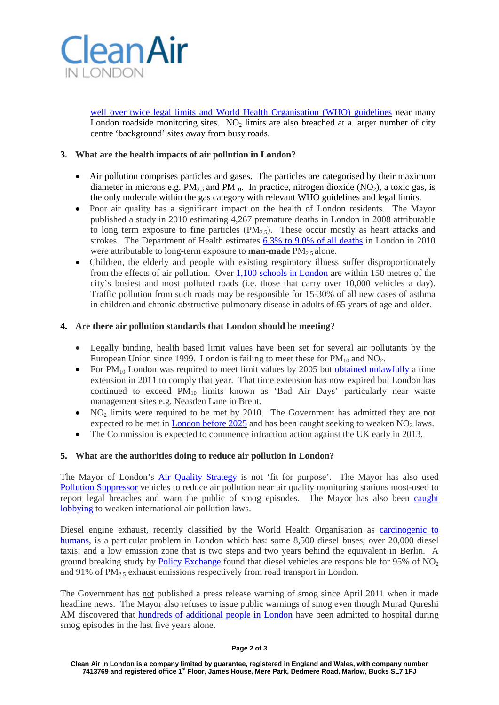

[well over twice legal limits and World Health Organisation \(WHO\) guidelines](http://www.londonair.org.uk/london/asp/publicstats.asp?region=0&site=WA7&la_id=&network=All&postcode=&MapType=Google&VenueCode=&zoom=9&lat=51.431751825946115&lon=-0.17578125&laEdge=) near many London roadside monitoring sites. NO<sub>2</sub> limits are also breached at a larger number of city centre 'background' sites away from busy roads.

## **3. What are the health impacts of air pollution in London?**

- Air pollution comprises particles and gases. The particles are categorised by their maximum diameter in microns e.g.  $PM_{2.5}$  and  $PM_{10}$ . In practice, nitrogen dioxide (NO<sub>2</sub>), a toxic gas, is the only molecule within the gas category with relevant WHO guidelines and legal limits.
- Poor air quality has a significant impact on the health of London residents. The Mayor published a study in 2010 estimating 4,267 premature deaths in London in 2008 attributable to long term exposure to fine particles  $(PM_{2.5})$ . These occur mostly as heart attacks and strokes. The Department of Health estimates [6.3% to 9.0% of all deaths](http://www.phoutcomes.info/public-health-outcomes-framework/domain/4) in London in 2010 were attributable to long-term exposure to **man-made** PM<sub>2.5</sub> alone.
- Children, the elderly and people with existing respiratory illness suffer disproportionately from the effects of air pollution. Over 1,100 [schools in London](http://cleanairinlondon.org/sources/clean-air-in-london-has-found-1148-schools-in-london-within-150-metres-of-busiest-roads/) are within 150 metres of the city's busiest and most polluted roads (i.e. those that carry over 10,000 vehicles a day). Traffic pollution from such roads may be responsible for 15-30% of all new cases of asthma in children and chronic obstructive pulmonary disease in adults of 65 years of age and older.

## **4. Are there air pollution standards that London should be meeting?**

- Legally binding, health based limit values have been set for several air pollutants by the European Union since 1999. London is failing to meet these for  $PM_{10}$  and  $NO<sub>2</sub>$ .
- For  $PM_{10}$  London was required to meet limit values by 2005 but [obtained unlawfully](http://cleanairinlondon.org/legal/call-for-caroline-spelman-mp-to-resign-for-uk-misleading-european-commission/) a time extension in 2011 to comply that year. That time extension has now expired but London has continued to exceed  $PM_{10}$  limits known as 'Bad Air Days' particularly near waste management sites e.g. Neasden Lane in Brent.
- NO<sub>2</sub> limits were required to be met by 2010. The Government has admitted they are not expected to be met in [London](http://cleanairinlondon.org/hot-topics/london-faces-infringement/) before  $2025$  and has been caught seeking to weaken  $NO<sub>2</sub>$  laws.
- The Commission is expected to commence infraction action against the UK early in 2013.

## **5. What are the authorities doing to reduce air pollution in London?**

The Mayor of London's [Air Quality Strategy](http://www.london.gov.uk/publication/mayors-air-quality-strategy) is not 'fit for purpose'. The Mayor has also used [Pollution Suppressor](http://cleanairinlondon.org/olympics/mayor-used-pollution-suppressor-to-save-himself-not-others/) vehicles to reduce air pollution near air quality monitoring stations most-used to report legal breaches and warn the public of smog episodes. The Mayor has also been [caught](http://cleanairinlondon.org/legal/mayor-releases-750-pages-of-details-about-his-lobbying-to-weaken-air-pollution-laws/)  [lobbying](http://cleanairinlondon.org/legal/mayor-releases-750-pages-of-details-about-his-lobbying-to-weaken-air-pollution-laws/) to weaken international air pollution laws.

Diesel engine exhaust, recently classified by the World Health Organisation as [carcinogenic to](http://press.iarc.fr/pr213_E.pdf)  [humans,](http://press.iarc.fr/pr213_E.pdf) is a particular problem in London which has: some 8,500 diesel buses; over 20,000 diesel taxis; and a low emission zone that is two steps and two years behind the equivalent in Berlin. A ground breaking study by [Policy Exchange](http://www.policyexchange.org.uk/publications/category/item/something-in-the-air-the-forgotten-crisis-of-britain-s-poor-air-quality) found that diesel vehicles are responsible for 95% of  $NO<sub>2</sub>$ and 91% of  $PM<sub>2.5</sub>$  exhaust emissions respectively from road transport in London.

The Government has not published a press release warning of smog since April 2011 when it made headline news. The Mayor also refuses to issue public warnings of smog even though Murad Qureshi AM discovered that [hundreds of additional people](http://mqt.london.gov.uk/mqt/public/question.do?id=44601) in London have been admitted to hospital during smog episodes in the last five years alone.

#### **Page 2 of 3**